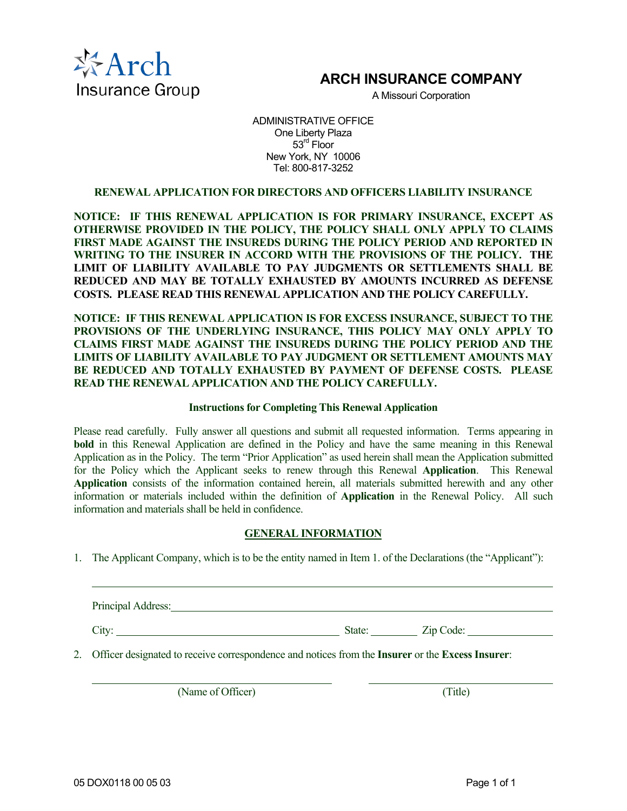

# **ARCH INSURANCE COMPANY**

A Missouri Corporation

ADMINISTRATIVE OFFICE One Liberty Plaza 53<sup>rd</sup> Floor New York, NY 10006 Tel: 800-817-3252

# **RENEWAL APPLICATION FOR DIRECTORS AND OFFICERS LIABILITY INSURANCE**

**NOTICE: IF THIS RENEWAL APPLICATION IS FOR PRIMARY INSURANCE, EXCEPT AS OTHERWISE PROVIDED IN THE POLICY, THE POLICY SHALL ONLY APPLY TO CLAIMS FIRST MADE AGAINST THE INSUREDS DURING THE POLICY PERIOD AND REPORTED IN WRITING TO THE INSURER IN ACCORD WITH THE PROVISIONS OF THE POLICY. THE LIMIT OF LIABILITY AVAILABLE TO PAY JUDGMENTS OR SETTLEMENTS SHALL BE REDUCED AND MAY BE TOTALLY EXHAUSTED BY AMOUNTS INCURRED AS DEFENSE COSTS. PLEASE READ THIS RENEWAL APPLICATION AND THE POLICY CAREFULLY.**

**NOTICE: IF THIS RENEWAL APPLICATION IS FOR EXCESS INSURANCE, SUBJECT TO THE PROVISIONS OF THE UNDERLYING INSURANCE, THIS POLICY MAY ONLY APPLY TO CLAIMS FIRST MADE AGAINST THE INSUREDS DURING THE POLICY PERIOD AND THE LIMITS OF LIABILITY AVAILABLE TO PAY JUDGMENT OR SETTLEMENT AMOUNTS MAY BE REDUCED AND TOTALLY EXHAUSTED BY PAYMENT OF DEFENSE COSTS. PLEASE READ THE RENEWAL APPLICATION AND THE POLICY CAREFULLY.** 

#### **Instructions for Completing This Renewal Application**

Please read carefully. Fully answer all questions and submit all requested information. Terms appearing in **bold** in this Renewal Application are defined in the Policy and have the same meaning in this Renewal Application as in the Policy. The term "Prior Application" as used herein shall mean the Application submitted for the Policy which the Applicant seeks to renew through this Renewal **Application**. This Renewal **Application** consists of the information contained herein, all materials submitted herewith and any other information or materials included within the definition of **Application** in the Renewal Policy. All such information and materials shall be held in confidence.

#### **GENERAL INFORMATION**

1. The Applicant Company, which is to be the entity named in Item 1. of the Declarations (the "Applicant"):

Principal Address: No. 1996. The Contract of the Contract of the Contract of the Contract of the Contract of the Contract of the Contract of the Contract of the Contract of the Contract of the Contract of the Contract of t City: <u>City:</u> Zip Code: <u>Zip Code:</u> Zip Code: Zip Code: Zip Code: Zip Code: Zip Code: Zip Code: Zip Code: Zip Code: Zip Code: Zip Code: Zip Code: Zip Code: Zip Code: Zip Code: Zip Code: Zip Code: Zip Code: Zip Code: Zip Co

2. Officer designated to receive correspondence and notices from the **Insurer** or the **Excess Insurer**:

(Name of Officer) (Title)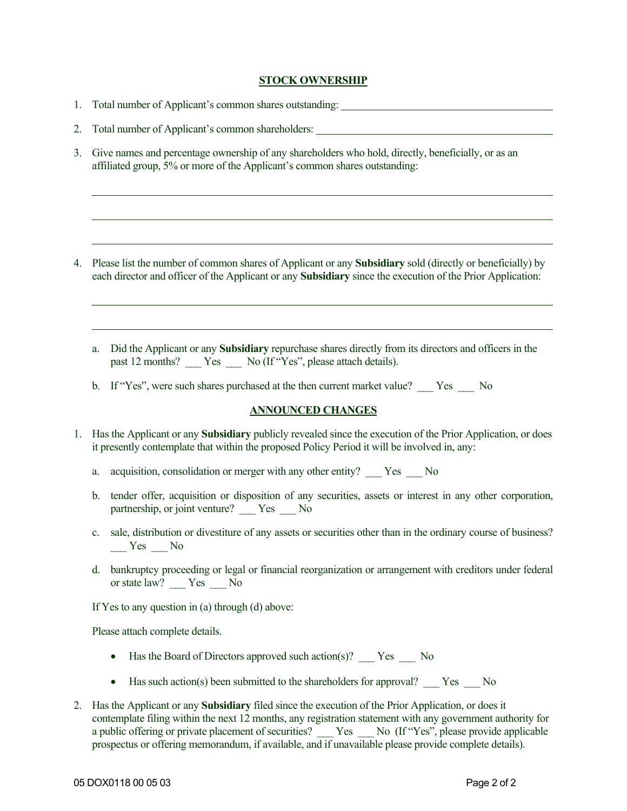# **STOCK OWNERSHIP**

- 1. Total number of Applicant's common shares outstanding:
- 2. Total number of Applicant's common shareholders:
- 3. Give names and percentage ownership of any shareholders who hold, directly, beneficially, or as an affiliated group, 5% or more of the Applicant's common shares outstanding:

- 4. Please list the number of common shares of Applicant or any **Subsidiary** sold (directly or beneficially) by each director and officer of the Applicant or any **Subsidiary** since the execution of the Prior Application:
	- a. Did the Applicant or any **Subsidiary** repurchase shares directly from its directors and officers in the past 12 months? \_\_\_ Yes \_\_\_ No (If "Yes", please attach details).
	- b. If "Yes", were such shares purchased at the then current market value? \_\_\_ Yes \_\_\_ No

# **ANNOUNCED CHANGES**

- 1. Has the Applicant or any **Subsidiary** publicly revealed since the execution of the Prior Application, or does it presently contemplate that within the proposed Policy Period it will be involved in, any:
	- a. acquisition, consolidation or merger with any other entity? \_\_\_ Yes \_\_\_ No
	- b. tender offer, acquisition or disposition of any securities, assets or interest in any other corporation, partnership, or joint venture? \_\_\_ Yes \_\_\_ No
	- c. sale, distribution or divestiture of any assets or securities other than in the ordinary course of business? Yes No
	- d. bankruptcy proceeding or legal or financial reorganization or arrangement with creditors under federal or state law? \_\_\_ Yes \_\_\_ No

If Yes to any question in (a) through (d) above:

Please attach complete details.

- Has the Board of Directors approved such action(s)? \_\_\_ Yes \_\_\_ No
- Has such action(s) been submitted to the shareholders for approval? \_\_\_ Yes \_\_ No
- 2. Has the Applicant or any **Subsidiary** filed since the execution of the Prior Application, or does it contemplate filing within the next 12 months, any registration statement with any government authority for a public offering or private placement of securities? Yes No (If "Yes", please provide applicable prospectus or offering memorandum, if available, and if unavailable please provide complete details).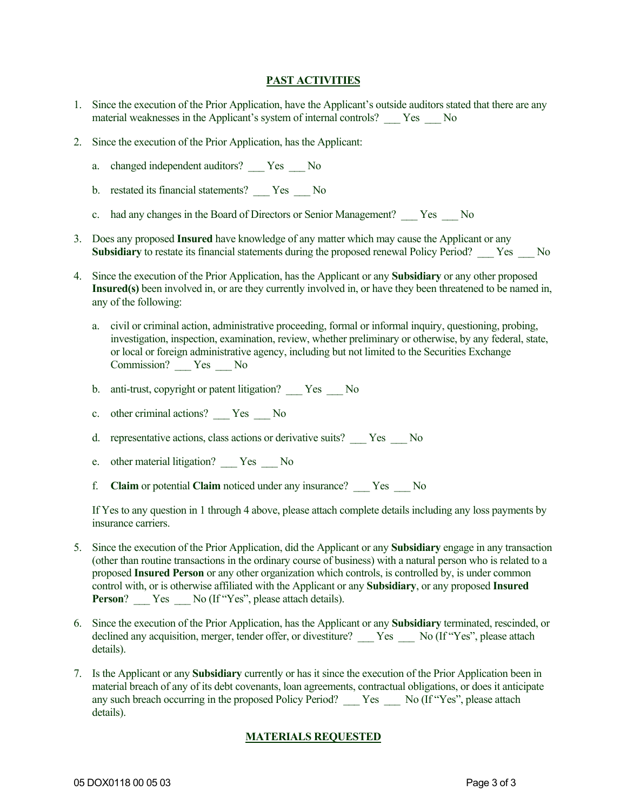# **PAST ACTIVITIES**

- 1. Since the execution of the Prior Application, have the Applicant's outside auditors stated that there are any material weaknesses in the Applicant's system of internal controls? \_\_\_ Yes \_\_\_ No
- 2. Since the execution of the Prior Application, has the Applicant:
	- a. changed independent auditors? Yes No
	- b. restated its financial statements? \_\_\_ Yes \_\_\_ No
	- c. had any changes in the Board of Directors or Senior Management? \_\_\_ Yes \_\_\_ No
- 3. Does any proposed **Insured** have knowledge of any matter which may cause the Applicant or any **Subsidiary** to restate its financial statements during the proposed renewal Policy Period? \_\_\_ Yes \_\_\_ No
- 4. Since the execution of the Prior Application, has the Applicant or any **Subsidiary** or any other proposed **Insured(s)** been involved in, or are they currently involved in, or have they been threatened to be named in, any of the following:
	- a. civil or criminal action, administrative proceeding, formal or informal inquiry, questioning, probing, investigation, inspection, examination, review, whether preliminary or otherwise, by any federal, state, or local or foreign administrative agency, including but not limited to the Securities Exchange Commission? \_\_\_ Yes \_\_\_ No
	- b. anti-trust, copyright or patent litigation? Yes No
	- c. other criminal actions? \_\_\_ Yes \_\_\_ No
	- d. representative actions, class actions or derivative suits? Yes No
	- e. other material litigation? \_\_\_ Yes \_\_\_ No
	- f. **Claim** or potential **Claim** noticed under any insurance? \_\_\_ Yes \_\_\_ No

If Yes to any question in 1 through 4 above, please attach complete details including any loss payments by insurance carriers.

- 5. Since the execution of the Prior Application, did the Applicant or any **Subsidiary** engage in any transaction (other than routine transactions in the ordinary course of business) with a natural person who is related to a proposed **Insured Person** or any other organization which controls, is controlled by, is under common control with, or is otherwise affiliated with the Applicant or any **Subsidiary**, or any proposed **Insured Person**? Yes No (If "Yes", please attach details).
- 6. Since the execution of the Prior Application, has the Applicant or any **Subsidiary** terminated, rescinded, or declined any acquisition, merger, tender offer, or divestiture? Yes No (If "Yes", please attach details).
- 7. Is the Applicant or any **Subsidiary** currently or has it since the execution of the Prior Application been in material breach of any of its debt covenants, loan agreements, contractual obligations, or does it anticipate any such breach occurring in the proposed Policy Period? \_\_\_ Yes \_\_\_ No (If "Yes", please attach details).

# **MATERIALS REQUESTED**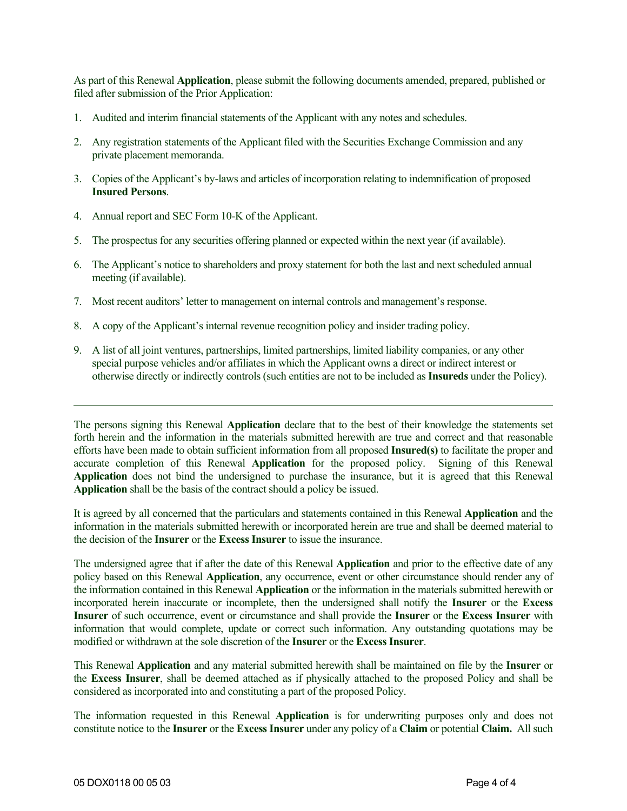As part of this Renewal **Application**, please submit the following documents amended, prepared, published or filed after submission of the Prior Application:

- 1. Audited and interim financial statements of the Applicant with any notes and schedules.
- 2. Any registration statements of the Applicant filed with the Securities Exchange Commission and any private placement memoranda.
- 3. Copies of the Applicant's by-laws and articles of incorporation relating to indemnification of proposed **Insured Persons**.
- 4. Annual report and SEC Form 10-K of the Applicant.
- 5. The prospectus for any securities offering planned or expected within the next year (if available).
- 6. The Applicant's notice to shareholders and proxy statement for both the last and next scheduled annual meeting (if available).
- 7. Most recent auditors' letter to management on internal controls and management's response.
- 8. A copy of the Applicant's internal revenue recognition policy and insider trading policy.
- 9. A list of all joint ventures, partnerships, limited partnerships, limited liability companies, or any other special purpose vehicles and/or affiliates in which the Applicant owns a direct or indirect interest or otherwise directly or indirectly controls (such entities are not to be included as **Insureds** under the Policy).

The persons signing this Renewal **Application** declare that to the best of their knowledge the statements set forth herein and the information in the materials submitted herewith are true and correct and that reasonable efforts have been made to obtain sufficient information from all proposed **Insured(s)** to facilitate the proper and accurate completion of this Renewal Application for the proposed policy. Signing of this Renewal Application does not bind the undersigned to purchase the insurance, but it is agreed that this Renewal **Application** shall be the basis of the contract should a policy be issued.

It is agreed by all concerned that the particulars and statements contained in this Renewal **Application** and the information in the materials submitted herewith or incorporated herein are true and shall be deemed material to the decision of the **Insurer** or the **Excess Insurer** to issue the insurance.

The undersigned agree that if after the date of this Renewal **Application** and prior to the effective date of any policy based on this Renewal **Application**, any occurrence, event or other circumstance should render any of the information contained in this Renewal **Application** or the information in the materials submitted herewith or incorporated herein inaccurate or incomplete, then the undersigned shall notify the **Insurer** or the **Excess Insurer** of such occurrence, event or circumstance and shall provide the **Insurer** or the **Excess Insurer** with information that would complete, update or correct such information. Any outstanding quotations may be modified or withdrawn at the sole discretion of the **Insurer** or the **Excess Insurer**.

This Renewal **Application** and any material submitted herewith shall be maintained on file by the **Insurer** or the **Excess Insurer**, shall be deemed attached as if physically attached to the proposed Policy and shall be considered as incorporated into and constituting a part of the proposed Policy.

The information requested in this Renewal **Application** is for underwriting purposes only and does not constitute notice to the **Insurer** or the **Excess Insurer** under any policy of a **Claim** or potential **Claim.** All such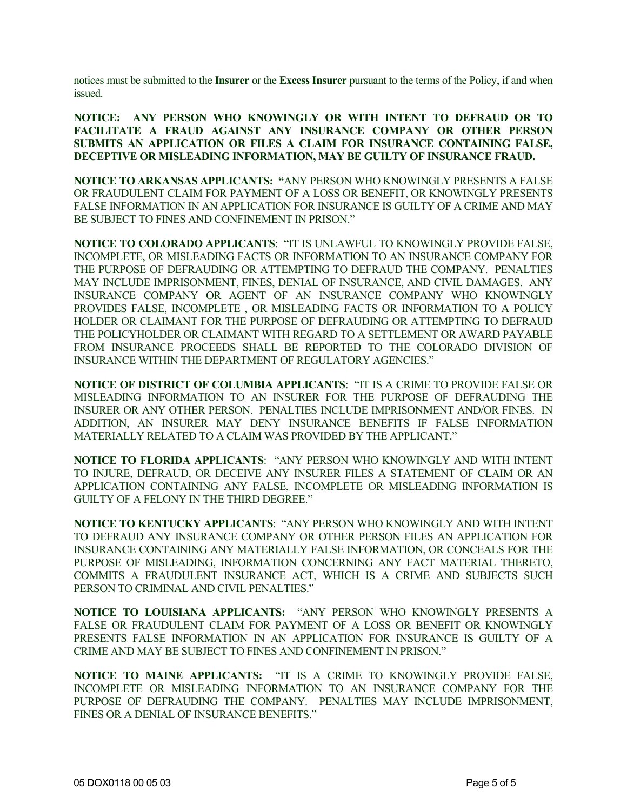notices must be submitted to the **Insurer** or the **Excess Insurer** pursuant to the terms of the Policy, if and when issued.

**NOTICE: ANY PERSON WHO KNOWINGLY OR WITH INTENT TO DEFRAUD OR TO FACILITATE A FRAUD AGAINST ANY INSURANCE COMPANY OR OTHER PERSON SUBMITS AN APPLICATION OR FILES A CLAIM FOR INSURANCE CONTAINING FALSE, DECEPTIVE OR MISLEADING INFORMATION, MAY BE GUILTY OF INSURANCE FRAUD.**

**NOTICE TO ARKANSAS APPLICANTS: "**ANY PERSON WHO KNOWINGLY PRESENTS A FALSE OR FRAUDULENT CLAIM FOR PAYMENT OF A LOSS OR BENEFIT, OR KNOWINGLY PRESENTS FALSE INFORMATION IN AN APPLICATION FOR INSURANCE IS GUILTY OF A CRIME AND MAY BE SUBJECT TO FINES AND CONFINEMENT IN PRISON."

**NOTICE TO COLORADO APPLICANTS**: "IT IS UNLAWFUL TO KNOWINGLY PROVIDE FALSE, INCOMPLETE, OR MISLEADING FACTS OR INFORMATION TO AN INSURANCE COMPANY FOR THE PURPOSE OF DEFRAUDING OR ATTEMPTING TO DEFRAUD THE COMPANY. PENALTIES MAY INCLUDE IMPRISONMENT, FINES, DENIAL OF INSURANCE, AND CIVIL DAMAGES. ANY INSURANCE COMPANY OR AGENT OF AN INSURANCE COMPANY WHO KNOWINGLY PROVIDES FALSE, INCOMPLETE , OR MISLEADING FACTS OR INFORMATION TO A POLICY HOLDER OR CLAIMANT FOR THE PURPOSE OF DEFRAUDING OR ATTEMPTING TO DEFRAUD THE POLICYHOLDER OR CLAIMANT WITH REGARD TO A SETTLEMENT OR AWARD PAYABLE FROM INSURANCE PROCEEDS SHALL BE REPORTED TO THE COLORADO DIVISION OF INSURANCE WITHIN THE DEPARTMENT OF REGULATORY AGENCIES."

**NOTICE OF DISTRICT OF COLUMBIA APPLICANTS**: "IT IS A CRIME TO PROVIDE FALSE OR MISLEADING INFORMATION TO AN INSURER FOR THE PURPOSE OF DEFRAUDING THE INSURER OR ANY OTHER PERSON. PENALTIES INCLUDE IMPRISONMENT AND/OR FINES. IN ADDITION, AN INSURER MAY DENY INSURANCE BENEFITS IF FALSE INFORMATION MATERIALLY RELATED TO A CLAIM WAS PROVIDED BY THE APPLICANT."

**NOTICE TO FLORIDA APPLICANTS**: "ANY PERSON WHO KNOWINGLY AND WITH INTENT TO INJURE, DEFRAUD, OR DECEIVE ANY INSURER FILES A STATEMENT OF CLAIM OR AN APPLICATION CONTAINING ANY FALSE, INCOMPLETE OR MISLEADING INFORMATION IS GUILTY OF A FELONY IN THE THIRD DEGREE."

**NOTICE TO KENTUCKY APPLICANTS**: "ANY PERSON WHO KNOWINGLY AND WITH INTENT TO DEFRAUD ANY INSURANCE COMPANY OR OTHER PERSON FILES AN APPLICATION FOR INSURANCE CONTAINING ANY MATERIALLY FALSE INFORMATION, OR CONCEALS FOR THE PURPOSE OF MISLEADING, INFORMATION CONCERNING ANY FACT MATERIAL THERETO, COMMITS A FRAUDULENT INSURANCE ACT, WHICH IS A CRIME AND SUBJECTS SUCH PERSON TO CRIMINAL AND CIVIL PENALTIES."

**NOTICE TO LOUISIANA APPLICANTS:** "ANY PERSON WHO KNOWINGLY PRESENTS A FALSE OR FRAUDULENT CLAIM FOR PAYMENT OF A LOSS OR BENEFIT OR KNOWINGLY PRESENTS FALSE INFORMATION IN AN APPLICATION FOR INSURANCE IS GUILTY OF A CRIME AND MAY BE SUBJECT TO FINES AND CONFINEMENT IN PRISON."

**NOTICE TO MAINE APPLICANTS:** "IT IS A CRIME TO KNOWINGLY PROVIDE FALSE, INCOMPLETE OR MISLEADING INFORMATION TO AN INSURANCE COMPANY FOR THE PURPOSE OF DEFRAUDING THE COMPANY. PENALTIES MAY INCLUDE IMPRISONMENT, FINES OR A DENIAL OF INSURANCE BENEFITS."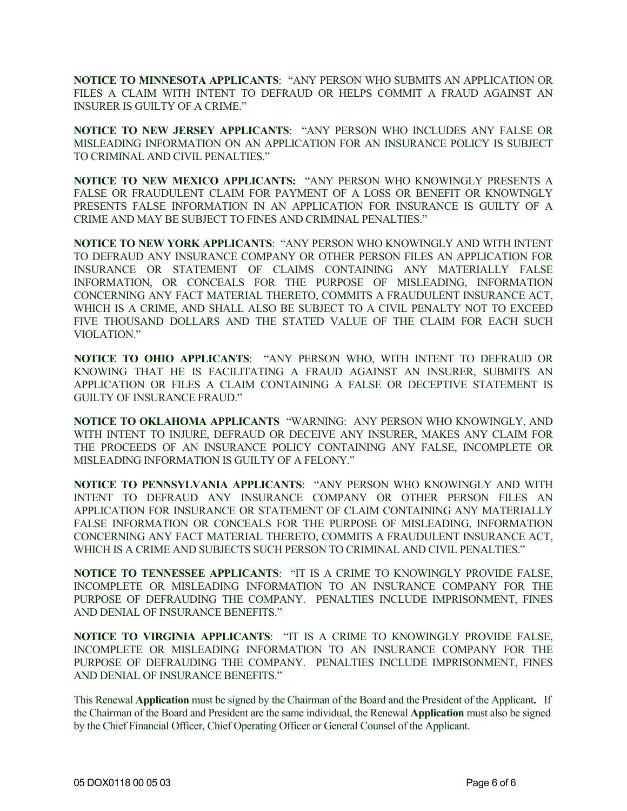**NOTICE TO MINNESOTA APPLICANTS**: "ANY PERSON WHO SUBMITS AN APPLICATION OR FILES A CLAIM WITH INTENT TO DEFRAUD OR HELPS COMMIT A FRAUD AGAINST AN INSURER IS GUILTY OF A CRIME."

**NOTICE TO NEW JERSEY APPLICANTS**: "ANY PERSON WHO INCLUDES ANY FALSE OR MISLEADING INFORMATION ON AN APPLICATION FOR AN INSURANCE POLICY IS SUBJECT TO CRIMINAL AND CIVIL PENALTIES."

**NOTICE TO NEW MEXICO APPLICANTS:** "ANY PERSON WHO KNOWINGLY PRESENTS A FALSE OR FRAUDULENT CLAIM FOR PAYMENT OF A LOSS OR BENEFIT OR KNOWINGLY PRESENTS FALSE INFORMATION IN AN APPLICATION FOR INSURANCE IS GUILTY OF A CRIME AND MAY BE SUBJECT TO FINES AND CRIMINAL PENALTIES."

**NOTICE TO NEW YORK APPLICANTS**: "ANY PERSON WHO KNOWINGLY AND WITH INTENT TO DEFRAUD ANY INSURANCE COMPANY OR OTHER PERSON FILES AN APPLICATION FOR INSURANCE OR STATEMENT OF CLAIMS CONTAINING ANY MATERIALLY FALSE INFORMATION, OR CONCEALS FOR THE PURPOSE OF MISLEADING, INFORMATION CONCERNING ANY FACT MATERIAL THERETO, COMMITS A FRAUDULENT INSURANCE ACT, WHICH IS A CRIME, AND SHALL ALSO BE SUBJECT TO A CIVIL PENALTY NOT TO EXCEED FIVE THOUSAND DOLLARS AND THE STATED VALUE OF THE CLAIM FOR EACH SUCH VIOLATION."

**NOTICE TO OHIO APPLICANTS**: "ANY PERSON WHO, WITH INTENT TO DEFRAUD OR KNOWING THAT HE IS FACILITATING A FRAUD AGAINST AN INSURER, SUBMITS AN APPLICATION OR FILES A CLAIM CONTAINING A FALSE OR DECEPTIVE STATEMENT IS GUILTY OF INSURANCE FRAUD."

**NOTICE TO OKLAHOMA APPLICANTS** "WARNING: ANY PERSON WHO KNOWINGLY, AND WITH INTENT TO INJURE, DEFRAUD OR DECEIVE ANY INSURER, MAKES ANY CLAIM FOR THE PROCEEDS OF AN INSURANCE POLICY CONTAINING ANY FALSE, INCOMPLETE OR MISLEADING INFORMATION IS GUILTY OF A FELONY."

**NOTICE TO PENNSYLVANIA APPLICANTS**: "ANY PERSON WHO KNOWINGLY AND WITH INTENT TO DEFRAUD ANY INSURANCE COMPANY OR OTHER PERSON FILES AN APPLICATION FOR INSURANCE OR STATEMENT OF CLAIM CONTAINING ANY MATERIALLY FALSE INFORMATION OR CONCEALS FOR THE PURPOSE OF MISLEADING, INFORMATION CONCERNING ANY FACT MATERIAL THERETO, COMMITS A FRAUDULENT INSURANCE ACT, WHICH IS A CRIME AND SUBJECTS SUCH PERSON TO CRIMINAL AND CIVIL PENALTIES."

**NOTICE TO TENNESSEE APPLICANTS**: "IT IS A CRIME TO KNOWINGLY PROVIDE FALSE, INCOMPLETE OR MISLEADING INFORMATION TO AN INSURANCE COMPANY FOR THE PURPOSE OF DEFRAUDING THE COMPANY. PENALTIES INCLUDE IMPRISONMENT, FINES AND DENIAL OF INSURANCE BENEFITS."

**NOTICE TO VIRGINIA APPLICANTS**: "IT IS A CRIME TO KNOWINGLY PROVIDE FALSE, INCOMPLETE OR MISLEADING INFORMATION TO AN INSURANCE COMPANY FOR THE PURPOSE OF DEFRAUDING THE COMPANY. PENALTIES INCLUDE IMPRISONMENT, FINES AND DENIAL OF INSURANCE BENEFITS."

This Renewal **Application** must be signed by the Chairman of the Board and the President of the Applicant**.** If the Chairman of the Board and President are the same individual, the Renewal **Application** must also be signed by the Chief Financial Officer, Chief Operating Officer or General Counsel of the Applicant.